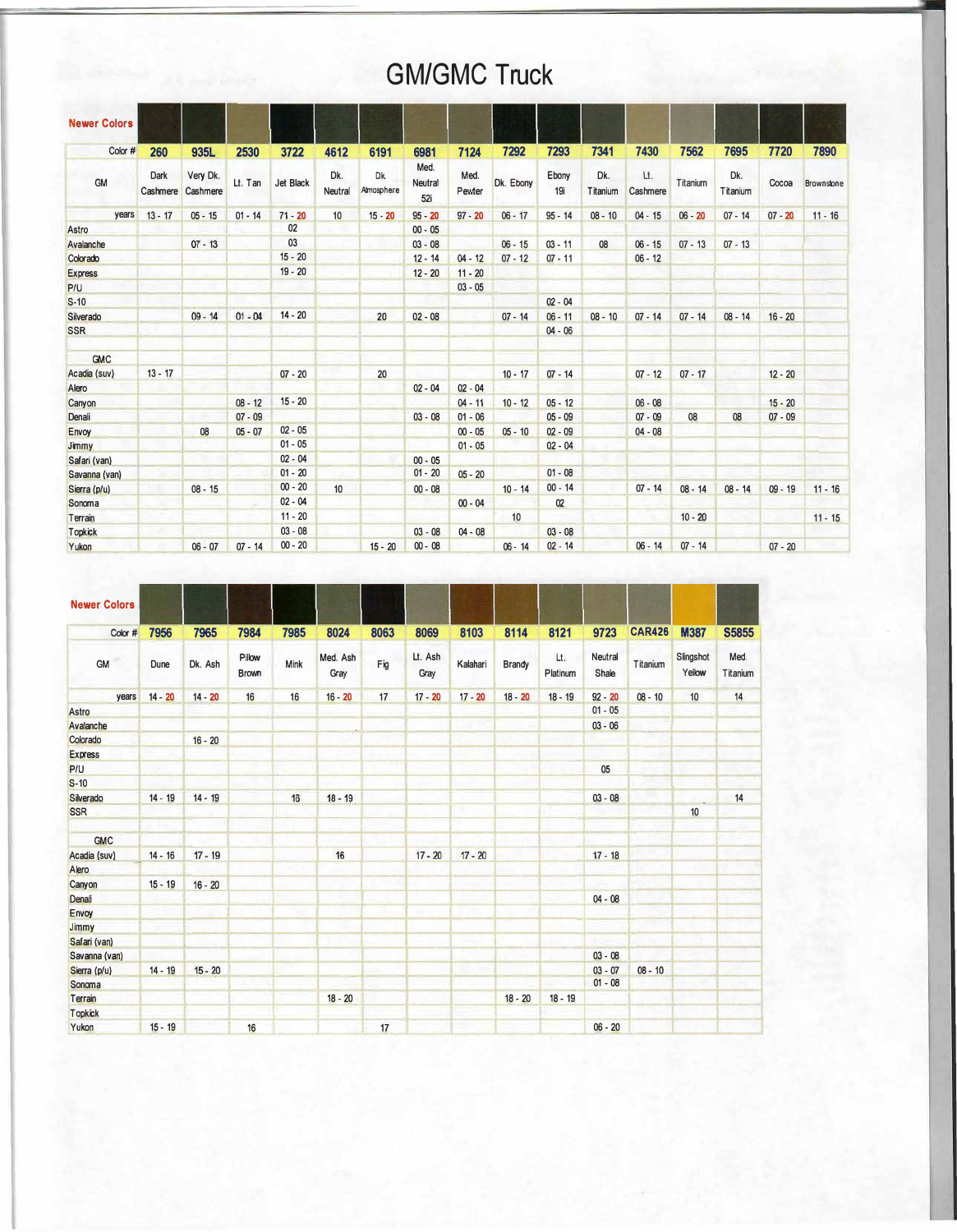## **GM/GMC Truck**

| <b>Newer Colors</b> |                  |                      |           |           |                |                  |                        |                |                  |              |                 |                 |           |                 |           |            |
|---------------------|------------------|----------------------|-----------|-----------|----------------|------------------|------------------------|----------------|------------------|--------------|-----------------|-----------------|-----------|-----------------|-----------|------------|
| Color #             | 260              | 935L                 | 2530      | 3722      | 4612           | 6191             | 6981                   | 7124           | 7292             | 7293         | 7341            | 7430            | 7562      | 7695            | 7720      | 7890       |
| <b>GM</b>           | Dark<br>Cashmere | Very Dk.<br>Cashmere | Lt. Tan   | Jet Black | Dk.<br>Neutral | Dk<br>Atmosphere | Med.<br>Neutral<br>52i | Med.<br>Pewter | Dk. Ebony        | Ebony<br>19i | Dk.<br>Titanium | Lt.<br>Cashmere | Titanium  | Dk.<br>Titanium | Cocoa     | Brownslone |
| years               | $13 - 17$        | $05 - 15$            | $01 - 14$ | $71 - 20$ | 10             | $15 - 20$        | $95 - 20$              | $97 - 20$      | $06 - 17$        | $95 - 14$    | $08 - 10$       | $04 - 15$       | $06 - 20$ | $07 - 14$       | $07 - 20$ | $11 - 16$  |
| Astro               |                  |                      |           | 02        |                |                  | $00 - 05$              |                |                  |              |                 |                 |           |                 |           |            |
| Avalanche           |                  | $07 - 13$            |           | 03        |                |                  | $03 - 08$              |                | $06 - 15$        | $03 - 11$    | 08              | $06 - 15$       | $07 - 13$ | $07 - 13$       |           |            |
| Colorado            |                  |                      |           | $15 - 20$ |                |                  | $12 - 14$              | $04 - 12$      | $07 - 12$        | $07 - 11$    |                 | $06 - 12$       |           |                 |           |            |
| <b>Express</b>      |                  |                      |           | $19 - 20$ |                |                  | $12 - 20$              | $11 - 20$      |                  |              |                 |                 |           |                 |           |            |
| P/U                 |                  |                      |           |           |                |                  |                        | $03 - 05$      |                  |              |                 |                 |           |                 |           |            |
| $S-10$              |                  |                      |           |           |                |                  |                        |                |                  | $02 - 04$    |                 |                 |           |                 |           |            |
| Silverado           |                  | $09 - 14$            | $01 - 04$ | $14 - 20$ |                | 20               | $02 - 08$              |                | $07 - 14$        | $06 - 11$    | $08 - 10$       | $07 - 14$       | $07 - 14$ | $08 - 14$       | $16 - 20$ |            |
| <b>SSR</b>          |                  |                      |           |           |                |                  |                        |                |                  | $04 - 06$    |                 |                 |           |                 |           |            |
| GMC                 |                  |                      |           |           |                |                  |                        |                |                  |              |                 |                 |           |                 |           |            |
| Acadia (suv)        | $13 - 17$        |                      |           | $07 - 20$ |                | 20               |                        |                | $10 - 17$        | $07 - 14$    |                 | $07 - 12$       | $07 - 17$ |                 | $12 - 20$ |            |
| Alero               |                  |                      |           |           |                |                  | $02 - 04$              | $02 - 04$      |                  |              |                 |                 |           |                 |           |            |
| Canyon              |                  |                      | $08 - 12$ | $15 - 20$ |                |                  |                        | $04 - 11$      | $10 - 12$        | $05 - 12$    |                 | $06 - 08$       |           |                 | $15 - 20$ |            |
| Denali              |                  |                      | $07 - 09$ |           |                |                  | $03 - 08$              | $01 - 06$      |                  | $05 - 09$    |                 | $07 - 09$       | 08        | 08              | $07 - 09$ |            |
| Envoy               |                  | 08                   | $05 - 07$ | $02 - 05$ |                |                  |                        | $00 - 05$      | $05 - 10$        | $02 - 09$    |                 | $04 - 08$       |           |                 |           |            |
| Jimmy               |                  |                      |           | $01 - 05$ |                |                  |                        | $01 - 05$      |                  | $02 - 04$    |                 |                 |           |                 |           |            |
| Safari (van)        |                  |                      |           | $02 - 04$ |                |                  | $00 - 05$              |                |                  |              |                 |                 |           |                 |           |            |
| Savanna (van)       |                  |                      |           | $01 - 20$ |                |                  | $01 - 20$              | $05 - 20$      |                  | $01 - 08$    |                 |                 |           |                 |           |            |
| Sierra (p/u)        |                  | $08 - 15$            |           | $00 - 20$ | 10             |                  | $00 - 08$              |                | $10 - 14$        | $00 - 14$    |                 | $07 - 14$       | $08 - 14$ | $08 - 14$       | $09 - 19$ | $11 - 16$  |
| Sonoma              |                  |                      |           | $02 - 04$ |                |                  |                        | $00 - 04$      |                  | 02           |                 |                 |           |                 |           |            |
| Terrain             |                  |                      |           | $11 - 20$ |                |                  |                        |                | 10 <sup>10</sup> |              |                 |                 | $10 - 20$ |                 |           | $11 - 15$  |
| <b>Topkick</b>      |                  |                      |           | $03 - 08$ |                |                  | $03 - 08$              | $04 - 08$      |                  | $03 - 08$    |                 |                 |           |                 |           |            |
| Yukon               |                  | $06 - 07$            | $07 - 14$ | $00 - 20$ |                | $15 - 20$        | $00 - 08$              |                | $06 - 14$        | $02 - 14$    |                 | $06 - 14$       | $07 - 14$ |                 | $07 - 20$ |            |

| <b>Newer Colors</b> |           |           |                        |      |                  |      |                 |           |               |                 |                  |               |                     |                  |
|---------------------|-----------|-----------|------------------------|------|------------------|------|-----------------|-----------|---------------|-----------------|------------------|---------------|---------------------|------------------|
| Color #             | 7956      | 7965      | 7984                   | 7985 | 8024             | 8063 | 8069            | 8103      | 8114          | 8121            | 9723             | <b>CAR426</b> | <b>M387</b>         | <b>S5855</b>     |
| GM                  | Dune      | Dk. Ash   | Pillow<br><b>Brown</b> | Mink | Med. Ash<br>Gray | Fig  | Lt. Ash<br>Gray | Kalahari  | <b>Brandy</b> | Lt.<br>Platinum | Neutral<br>Shale | Titanium      | Slingshot<br>Yellow | Med.<br>Titanium |
| years               | $14 - 20$ | $14 - 20$ | 16                     | 16   | $16 - 20$        | 17   | $17 - 20$       | $17 - 20$ | $18 - 20$     | $18 - 19$       | $92 - 20$        | $08 - 10$     | 10                  | 14               |
| Astro               |           |           |                        |      |                  |      |                 |           |               |                 | $01 - 05$        |               |                     |                  |
| Avalanche           |           |           |                        |      |                  |      |                 |           |               |                 | $03 - 06$        |               |                     |                  |
| Colorado            |           | $16 - 20$ |                        |      |                  |      |                 |           |               |                 |                  |               |                     |                  |
| <b>Express</b>      |           |           |                        |      |                  |      |                 |           |               |                 |                  |               |                     |                  |
| P/U                 |           |           |                        |      |                  |      |                 |           |               |                 | 05               |               |                     |                  |
| $S-10$              |           |           |                        |      |                  |      |                 |           |               |                 |                  |               |                     |                  |
| Silverado           | $14 - 19$ | $14 - 19$ |                        | 16   | $18 - 19$        |      |                 |           |               |                 | $03 - 08$        |               |                     | 14               |
| <b>SSR</b>          |           |           |                        |      |                  |      |                 |           |               |                 |                  |               | 10                  |                  |
| <b>GMC</b>          |           |           |                        |      |                  |      |                 |           |               |                 |                  |               |                     |                  |
| Acadia (suv)        | $14 - 16$ | $17 - 19$ |                        |      | 16               |      | $17 - 20$       | $17 - 20$ |               |                 | $17 - 18$        |               |                     |                  |
| Alero               |           |           |                        |      |                  |      |                 |           |               |                 |                  |               |                     |                  |
| Canyon              | $15 - 19$ | $16 - 20$ |                        |      |                  |      |                 |           |               |                 |                  |               |                     |                  |
| Denali              |           |           |                        |      |                  |      |                 |           |               |                 | $04 - 08$        |               |                     |                  |
| Envoy               |           |           |                        |      |                  |      |                 |           |               |                 |                  |               |                     |                  |
| Jimmy               |           |           |                        |      |                  |      |                 |           |               |                 |                  |               |                     |                  |
| Safari (van)        |           |           |                        |      |                  |      |                 |           |               |                 |                  |               |                     |                  |
| Savanna (van)       |           |           |                        |      |                  |      |                 |           |               |                 | $03 - 08$        |               |                     |                  |
| Sierra (p/u)        | $14 - 19$ | $15 - 20$ |                        |      |                  |      |                 |           |               |                 | $03 - 07$        | $08 - 10$     |                     |                  |
| Sonoma              |           |           |                        |      |                  |      |                 |           |               |                 | $01 - 08$        |               |                     |                  |
| Terrain             |           |           |                        |      | $18 - 20$        |      |                 |           | $18 - 20$     | $18 - 19$       |                  |               |                     |                  |
| <b>Topkick</b>      |           |           |                        |      |                  |      |                 |           |               |                 |                  |               |                     |                  |
| Yukon               | $15 - 19$ |           | 16                     |      |                  | 17   |                 |           |               |                 | $06 - 20$        |               |                     |                  |